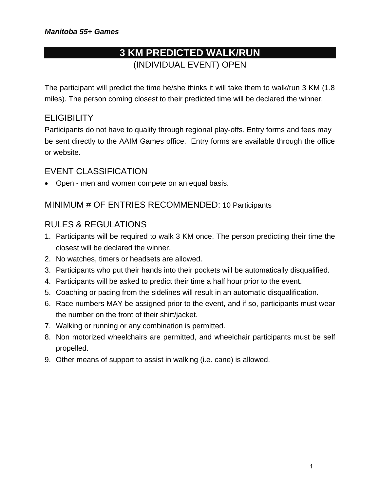# **3 KM PREDICTED WALK/RUN**  (INDIVIDUAL EVENT) OPEN

The participant will predict the time he/she thinks it will take them to walk/run 3 KM (1.8 miles). The person coming closest to their predicted time will be declared the winner.

#### **ELIGIBILITY**

Participants do not have to qualify through regional play-offs. Entry forms and fees may be sent directly to the AAIM Games office. Entry forms are available through the office or website.

#### EVENT CLASSIFICATION

• Open - men and women compete on an equal basis.

#### MINIMUM # OF ENTRIES RECOMMENDED: 10 Participants

#### RULES & REGULATIONS

- 1. Participants will be required to walk 3 KM once. The person predicting their time the closest will be declared the winner.
- 2. No watches, timers or headsets are allowed.
- 3. Participants who put their hands into their pockets will be automatically disqualified.
- 4. Participants will be asked to predict their time a half hour prior to the event.
- 5. Coaching or pacing from the sidelines will result in an automatic disqualification.
- 6. Race numbers MAY be assigned prior to the event, and if so, participants must wear the number on the front of their shirt/jacket.
- 7. Walking or running or any combination is permitted.
- 8. Non motorized wheelchairs are permitted, and wheelchair participants must be self propelled.
- 9. Other means of support to assist in walking (i.e. cane) is allowed.